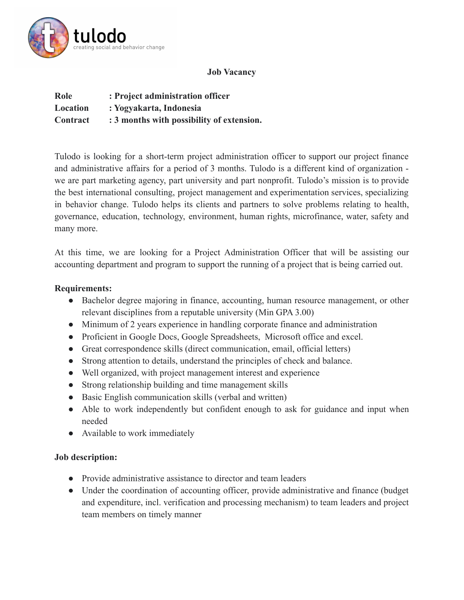

## **Job Vacancy**

| Role            | : Project administration officer          |
|-----------------|-------------------------------------------|
| Location        | : Yogyakarta, Indonesia                   |
| <b>Contract</b> | : 3 months with possibility of extension. |

Tulodo is looking for a short-term project administration officer to support our project finance and administrative affairs for a period of 3 months. Tulodo is a different kind of organization we are part marketing agency, part university and part nonprofit. Tulodo's mission is to provide the best international consulting, project management and experimentation services, specializing in behavior change. Tulodo helps its clients and partners to solve problems relating to health, governance, education, technology, environment, human rights, microfinance, water, safety and many more.

At this time, we are looking for a Project Administration Officer that will be assisting our accounting department and program to support the running of a project that is being carried out.

## **Requirements:**

- Bachelor degree majoring in finance, accounting, human resource management, or other relevant disciplines from a reputable university (Min GPA 3.00)
- Minimum of 2 years experience in handling corporate finance and administration
- Proficient in Google Docs, Google Spreadsheets, Microsoft office and excel.
- Great correspondence skills (direct communication, email, official letters)
- Strong attention to details, understand the principles of check and balance.
- Well organized, with project management interest and experience
- Strong relationship building and time management skills
- Basic English communication skills (verbal and written)
- Able to work independently but confident enough to ask for guidance and input when needed
- Available to work immediately

## **Job description:**

- Provide administrative assistance to director and team leaders
- Under the coordination of accounting officer, provide administrative and finance (budget and expenditure, incl. verification and processing mechanism) to team leaders and project team members on timely manner